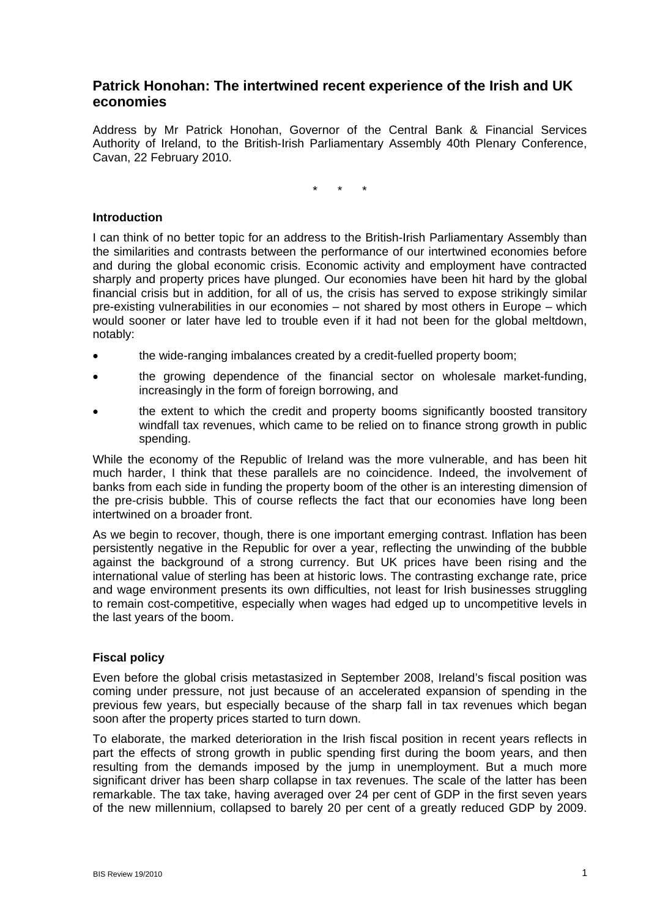# **Patrick Honohan: The intertwined recent experience of the Irish and UK economies**

Address by Mr Patrick Honohan, Governor of the Central Bank & Financial Services Authority of Ireland, to the British-Irish Parliamentary Assembly 40th Plenary Conference, Cavan, 22 February 2010.

\* \* \*

## **Introduction**

I can think of no better topic for an address to the British-Irish Parliamentary Assembly than the similarities and contrasts between the performance of our intertwined economies before and during the global economic crisis. Economic activity and employment have contracted sharply and property prices have plunged. Our economies have been hit hard by the global financial crisis but in addition, for all of us, the crisis has served to expose strikingly similar pre-existing vulnerabilities in our economies – not shared by most others in Europe – which would sooner or later have led to trouble even if it had not been for the global meltdown, notably:

- the wide-ranging imbalances created by a credit-fuelled property boom;
- the growing dependence of the financial sector on wholesale market-funding, increasingly in the form of foreign borrowing, and
- the extent to which the credit and property booms significantly boosted transitory windfall tax revenues, which came to be relied on to finance strong growth in public spending.

While the economy of the Republic of Ireland was the more vulnerable, and has been hit much harder, I think that these parallels are no coincidence. Indeed, the involvement of banks from each side in funding the property boom of the other is an interesting dimension of the pre-crisis bubble. This of course reflects the fact that our economies have long been intertwined on a broader front.

As we begin to recover, though, there is one important emerging contrast. Inflation has been persistently negative in the Republic for over a year, reflecting the unwinding of the bubble against the background of a strong currency. But UK prices have been rising and the international value of sterling has been at historic lows. The contrasting exchange rate, price and wage environment presents its own difficulties, not least for Irish businesses struggling to remain cost-competitive, especially when wages had edged up to uncompetitive levels in the last years of the boom.

# **Fiscal policy**

Even before the global crisis metastasized in September 2008, Ireland's fiscal position was coming under pressure, not just because of an accelerated expansion of spending in the previous few years, but especially because of the sharp fall in tax revenues which began soon after the property prices started to turn down.

To elaborate, the marked deterioration in the Irish fiscal position in recent years reflects in part the effects of strong growth in public spending first during the boom years, and then resulting from the demands imposed by the jump in unemployment. But a much more significant driver has been sharp collapse in tax revenues. The scale of the latter has been remarkable. The tax take, having averaged over 24 per cent of GDP in the first seven years of the new millennium, collapsed to barely 20 per cent of a greatly reduced GDP by 2009.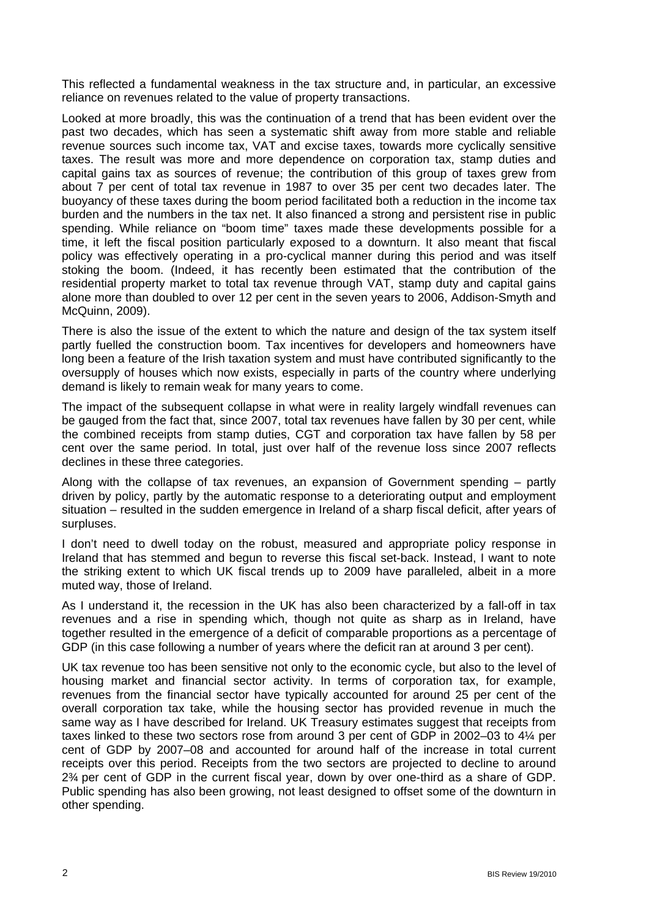This reflected a fundamental weakness in the tax structure and, in particular, an excessive reliance on revenues related to the value of property transactions.

Looked at more broadly, this was the continuation of a trend that has been evident over the past two decades, which has seen a systematic shift away from more stable and reliable revenue sources such income tax, VAT and excise taxes, towards more cyclically sensitive taxes. The result was more and more dependence on corporation tax, stamp duties and capital gains tax as sources of revenue; the contribution of this group of taxes grew from about 7 per cent of total tax revenue in 1987 to over 35 per cent two decades later. The buoyancy of these taxes during the boom period facilitated both a reduction in the income tax burden and the numbers in the tax net. It also financed a strong and persistent rise in public spending. While reliance on "boom time" taxes made these developments possible for a time, it left the fiscal position particularly exposed to a downturn. It also meant that fiscal policy was effectively operating in a pro-cyclical manner during this period and was itself stoking the boom. (Indeed, it has recently been estimated that the contribution of the residential property market to total tax revenue through VAT, stamp duty and capital gains alone more than doubled to over 12 per cent in the seven years to 2006, Addison-Smyth and McQuinn, 2009).

There is also the issue of the extent to which the nature and design of the tax system itself partly fuelled the construction boom. Tax incentives for developers and homeowners have long been a feature of the Irish taxation system and must have contributed significantly to the oversupply of houses which now exists, especially in parts of the country where underlying demand is likely to remain weak for many years to come.

The impact of the subsequent collapse in what were in reality largely windfall revenues can be gauged from the fact that, since 2007, total tax revenues have fallen by 30 per cent, while the combined receipts from stamp duties, CGT and corporation tax have fallen by 58 per cent over the same period. In total, just over half of the revenue loss since 2007 reflects declines in these three categories.

Along with the collapse of tax revenues, an expansion of Government spending – partly driven by policy, partly by the automatic response to a deteriorating output and employment situation – resulted in the sudden emergence in Ireland of a sharp fiscal deficit, after years of surpluses.

I don't need to dwell today on the robust, measured and appropriate policy response in Ireland that has stemmed and begun to reverse this fiscal set-back. Instead, I want to note the striking extent to which UK fiscal trends up to 2009 have paralleled, albeit in a more muted way, those of Ireland.

As I understand it, the recession in the UK has also been characterized by a fall-off in tax revenues and a rise in spending which, though not quite as sharp as in Ireland, have together resulted in the emergence of a deficit of comparable proportions as a percentage of GDP (in this case following a number of years where the deficit ran at around 3 per cent).

UK tax revenue too has been sensitive not only to the economic cycle, but also to the level of housing market and financial sector activity. In terms of corporation tax, for example, revenues from the financial sector have typically accounted for around 25 per cent of the overall corporation tax take, while the housing sector has provided revenue in much the same way as I have described for Ireland. UK Treasury estimates suggest that receipts from taxes linked to these two sectors rose from around 3 per cent of GDP in 2002–03 to 4¼ per cent of GDP by 2007–08 and accounted for around half of the increase in total current receipts over this period. Receipts from the two sectors are projected to decline to around 2¾ per cent of GDP in the current fiscal year, down by over one-third as a share of GDP. Public spending has also been growing, not least designed to offset some of the downturn in other spending.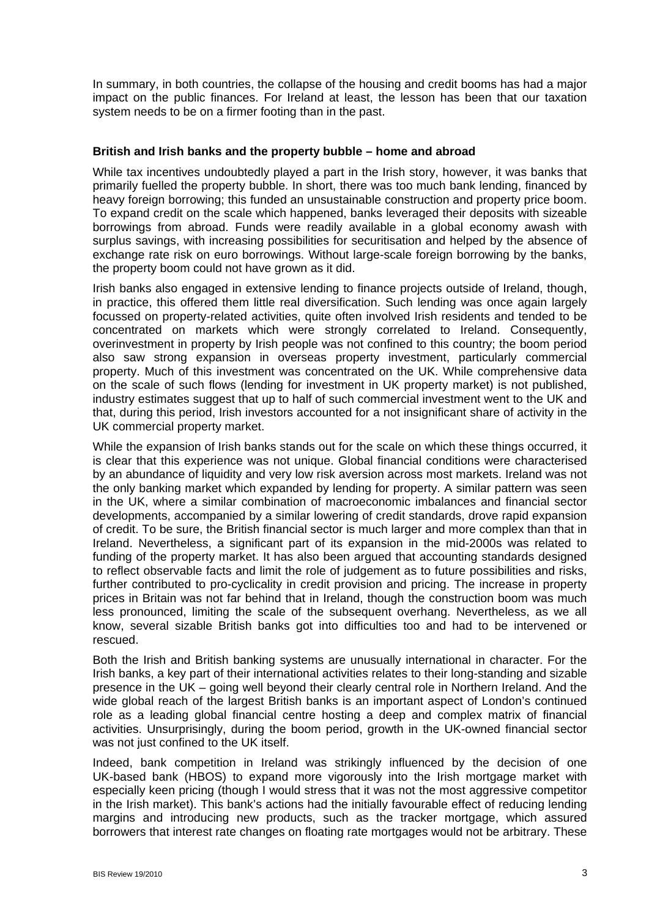In summary, in both countries, the collapse of the housing and credit booms has had a major impact on the public finances. For Ireland at least, the lesson has been that our taxation system needs to be on a firmer footing than in the past.

### **British and Irish banks and the property bubble – home and abroad**

While tax incentives undoubtedly played a part in the Irish story, however, it was banks that primarily fuelled the property bubble. In short, there was too much bank lending, financed by heavy foreign borrowing; this funded an unsustainable construction and property price boom. To expand credit on the scale which happened, banks leveraged their deposits with sizeable borrowings from abroad. Funds were readily available in a global economy awash with surplus savings, with increasing possibilities for securitisation and helped by the absence of exchange rate risk on euro borrowings. Without large-scale foreign borrowing by the banks, the property boom could not have grown as it did.

Irish banks also engaged in extensive lending to finance projects outside of Ireland, though, in practice, this offered them little real diversification. Such lending was once again largely focussed on property-related activities, quite often involved Irish residents and tended to be concentrated on markets which were strongly correlated to Ireland. Consequently, overinvestment in property by Irish people was not confined to this country; the boom period also saw strong expansion in overseas property investment, particularly commercial property. Much of this investment was concentrated on the UK. While comprehensive data on the scale of such flows (lending for investment in UK property market) is not published, industry estimates suggest that up to half of such commercial investment went to the UK and that, during this period, Irish investors accounted for a not insignificant share of activity in the UK commercial property market.

While the expansion of Irish banks stands out for the scale on which these things occurred, it is clear that this experience was not unique. Global financial conditions were characterised by an abundance of liquidity and very low risk aversion across most markets. Ireland was not the only banking market which expanded by lending for property. A similar pattern was seen in the UK, where a similar combination of macroeconomic imbalances and financial sector developments, accompanied by a similar lowering of credit standards, drove rapid expansion of credit. To be sure, the British financial sector is much larger and more complex than that in Ireland. Nevertheless, a significant part of its expansion in the mid-2000s was related to funding of the property market. It has also been argued that accounting standards designed to reflect observable facts and limit the role of judgement as to future possibilities and risks, further contributed to pro-cyclicality in credit provision and pricing. The increase in property prices in Britain was not far behind that in Ireland, though the construction boom was much less pronounced, limiting the scale of the subsequent overhang. Nevertheless, as we all know, several sizable British banks got into difficulties too and had to be intervened or rescued.

Both the Irish and British banking systems are unusually international in character. For the Irish banks, a key part of their international activities relates to their long-standing and sizable presence in the UK – going well beyond their clearly central role in Northern Ireland. And the wide global reach of the largest British banks is an important aspect of London's continued role as a leading global financial centre hosting a deep and complex matrix of financial activities. Unsurprisingly, during the boom period, growth in the UK-owned financial sector was not just confined to the UK itself.

Indeed, bank competition in Ireland was strikingly influenced by the decision of one UK-based bank (HBOS) to expand more vigorously into the Irish mortgage market with especially keen pricing (though I would stress that it was not the most aggressive competitor in the Irish market). This bank's actions had the initially favourable effect of reducing lending margins and introducing new products, such as the tracker mortgage, which assured borrowers that interest rate changes on floating rate mortgages would not be arbitrary. These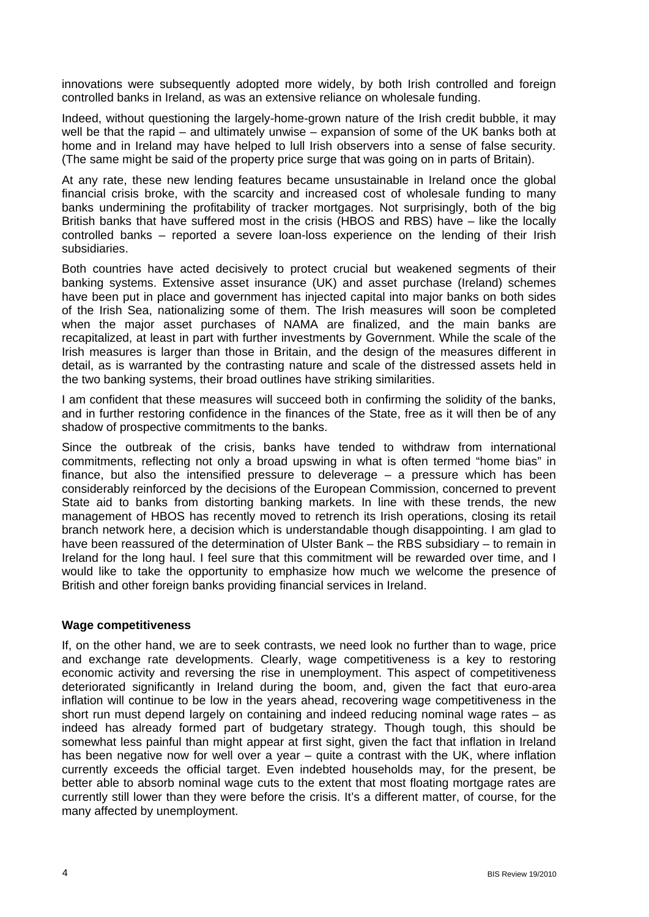innovations were subsequently adopted more widely, by both Irish controlled and foreign controlled banks in Ireland, as was an extensive reliance on wholesale funding.

Indeed, without questioning the largely-home-grown nature of the Irish credit bubble, it may well be that the rapid – and ultimately unwise – expansion of some of the UK banks both at home and in Ireland may have helped to lull Irish observers into a sense of false security. (The same might be said of the property price surge that was going on in parts of Britain).

At any rate, these new lending features became unsustainable in Ireland once the global financial crisis broke, with the scarcity and increased cost of wholesale funding to many banks undermining the profitability of tracker mortgages. Not surprisingly, both of the big British banks that have suffered most in the crisis (HBOS and RBS) have – like the locally controlled banks – reported a severe loan-loss experience on the lending of their Irish subsidiaries.

Both countries have acted decisively to protect crucial but weakened segments of their banking systems. Extensive asset insurance (UK) and asset purchase (Ireland) schemes have been put in place and government has injected capital into major banks on both sides of the Irish Sea, nationalizing some of them. The Irish measures will soon be completed when the major asset purchases of NAMA are finalized, and the main banks are recapitalized, at least in part with further investments by Government. While the scale of the Irish measures is larger than those in Britain, and the design of the measures different in detail, as is warranted by the contrasting nature and scale of the distressed assets held in the two banking systems, their broad outlines have striking similarities.

I am confident that these measures will succeed both in confirming the solidity of the banks, and in further restoring confidence in the finances of the State, free as it will then be of any shadow of prospective commitments to the banks.

Since the outbreak of the crisis, banks have tended to withdraw from international commitments, reflecting not only a broad upswing in what is often termed "home bias" in finance, but also the intensified pressure to deleverage – a pressure which has been considerably reinforced by the decisions of the European Commission, concerned to prevent State aid to banks from distorting banking markets. In line with these trends, the new management of HBOS has recently moved to retrench its Irish operations, closing its retail branch network here, a decision which is understandable though disappointing. I am glad to have been reassured of the determination of Ulster Bank – the RBS subsidiary – to remain in Ireland for the long haul. I feel sure that this commitment will be rewarded over time, and I would like to take the opportunity to emphasize how much we welcome the presence of British and other foreign banks providing financial services in Ireland.

#### **Wage competitiveness**

If, on the other hand, we are to seek contrasts, we need look no further than to wage, price and exchange rate developments. Clearly, wage competitiveness is a key to restoring economic activity and reversing the rise in unemployment. This aspect of competitiveness deteriorated significantly in Ireland during the boom, and, given the fact that euro-area inflation will continue to be low in the years ahead, recovering wage competitiveness in the short run must depend largely on containing and indeed reducing nominal wage rates – as indeed has already formed part of budgetary strategy. Though tough, this should be somewhat less painful than might appear at first sight, given the fact that inflation in Ireland has been negative now for well over a year – quite a contrast with the UK, where inflation currently exceeds the official target. Even indebted households may, for the present, be better able to absorb nominal wage cuts to the extent that most floating mortgage rates are currently still lower than they were before the crisis. It's a different matter, of course, for the many affected by unemployment.